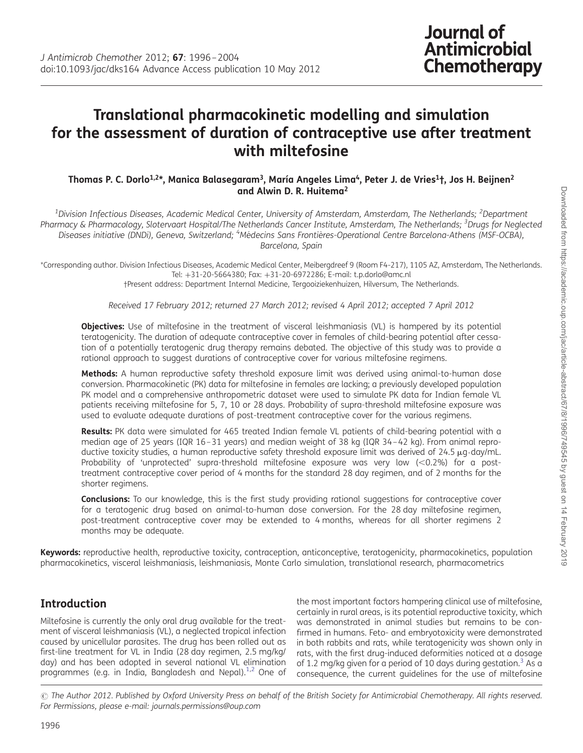# Translational pharmacokinetic modelling and simulation for the assessment of duration of contraceptive use after treatment with miltefosine

#### Thomas P. C. Dorlo<sup>1,2\*</sup>, Manica Balasegaram<sup>3</sup>, María Angeles Lima<sup>4</sup>, Peter J. de Vries<sup>1</sup>†, Jos H. Beijnen<sup>2</sup> and Alwin D. R. Huitema2

 $^{\rm 1}$ Division Infectious Diseases, Academic Medical Center, University of Amsterdam, Amsterdam, The Netherlands; <sup>2</sup>Department Pharmacy & Pharmacology, Slotervaart Hospital/The Netherlands Cancer Institute, Amsterdam, The Netherlands; <sup>3</sup>Drugs for Neglected Diseases initiative (DNDi), Geneva, Switzerland; <sup>4</sup>Médecins Sans Frontières-Operational Centre Barcelona-Athens (MSF-OCBA), Barcelona, Spain

\*Corresponding author. Division Infectious Diseases, Academic Medical Center, Meibergdreef 9 (Room F4-217), 1105 AZ, Amsterdam, The Netherlands. Tel: +31-20-5664380; Fax: +31-20-6972286; E-mail: t.p.dorlo@amc.nl †Present address: Department Internal Medicine, Tergooiziekenhuizen, Hilversum, The Netherlands.

Received 17 February 2012; returned 27 March 2012; revised 4 April 2012; accepted 7 April 2012

**Objectives:** Use of miltefosine in the treatment of visceral leishmaniasis (VL) is hampered by its potential teratogenicity. The duration of adequate contraceptive cover in females of child-bearing potential after cessation of a potentially teratogenic drug therapy remains debated. The objective of this study was to provide a rational approach to suggest durations of contraceptive cover for various miltefosine regimens.

Methods: A human reproductive safety threshold exposure limit was derived using animal-to-human dose conversion. Pharmacokinetic (PK) data for miltefosine in females are lacking; a previously developed population PK model and a comprehensive anthropometric dataset were used to simulate PK data for Indian female VL patients receiving miltefosine for 5, 7, 10 or 28 days. Probability of supra-threshold miltefosine exposure was used to evaluate adequate durations of post-treatment contraceptive cover for the various regimens.

Results: PK data were simulated for 465 treated Indian female VL patients of child-bearing potential with a median age of 25 years (IQR 16–31 years) and median weight of 38 kg (IQR 34–42 kg). From animal reproductive toxicity studies, a human reproductive safety threshold exposure limit was derived of 24.5 µg day/mL. Probability of 'unprotected' supra-threshold miltefosine exposure was very low  $(<0.2\%)$  for a posttreatment contraceptive cover period of 4 months for the standard 28 day regimen, and of 2 months for the shorter regimens.

**Conclusions:** To our knowledge, this is the first study providing rational suggestions for contraceptive cover for a teratogenic drug based on animal-to-human dose conversion. For the 28 day miltefosine regimen, post-treatment contraceptive cover may be extended to 4 months, whereas for all shorter regimens 2 months may be adequate.

Keywords: reproductive health, reproductive toxicity, contraception, anticonceptive, teratogenicity, pharmacokinetics, population pharmacokinetics, visceral leishmaniasis, leishmaniasis, Monte Carlo simulation, translational research, pharmacometrics

# Introduction

Miltefosine is currently the only oral drug available for the treatment of visceral leishmaniasis (VL), a neglected tropical infection caused by unicellular parasites. The drug has been rolled out as first-line treatment for VL in India (28 day regimen, 2.5 mg/kg/ day) and has been adopted in several national VL elimination programmes (e.g. in India, Bangladesh and Nepal).<sup>[1](#page-7-0),[2](#page-7-0)</sup> One of

the most important factors hampering clinical use of miltefosine, certainly in rural areas, is its potential reproductive toxicity, which was demonstrated in animal studies but remains to be confirmed in humans. Feto- and embryotoxicity were demonstrated in both rabbits and rats, while teratogenicity was shown only in rats, with the first drug-induced deformities noticed at a dosage of 1.2 mg/kg given for a period of 10 days during gestation.<sup>[3](#page-7-0)</sup> As a consequence, the current guidelines for the use of miltefosine

 $\odot$  The Author 2012. Published by Oxford University Press on behalf of the British Society for Antimicrobial Chemotherapy. All rights reserved. For Permissions, please e-mail: journals.permissions@oup.com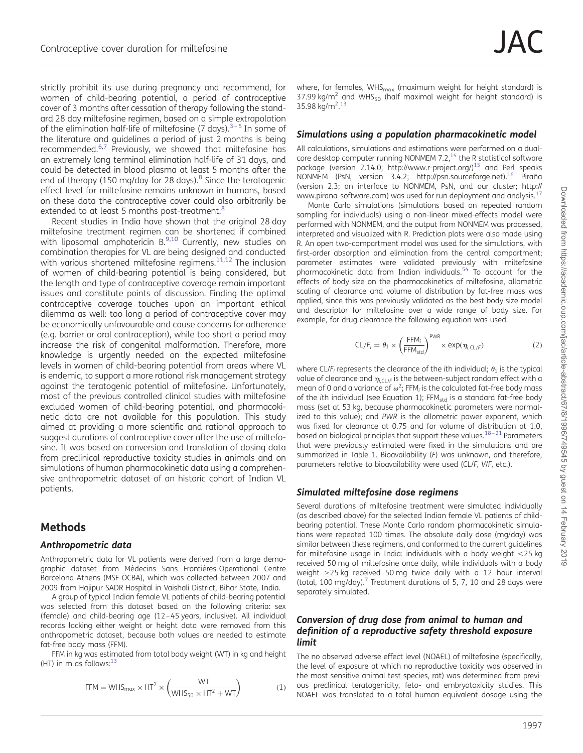strictly prohibit its use during pregnancy and recommend, for women of child-bearing potential, a period of contraceptive cover of 3 months after cessation of therapy following the standard 28 day miltefosine regimen, based on a simple extrapolation of the elimination half-life of miltefosine (7 days). $3-5$  $3-5$  $3-5$  In some of the literature and guidelines a period of just 2 months is being recommended.<sup>[6](#page-7-0),[7](#page-7-0)</sup> Previously, we showed that miltefosine has an extremely long terminal elimination half-life of 31 days, and could be detected in blood plasma at least 5 months after the end of therapy (150 mg/day for 2[8](#page-7-0) days). $8$  Since the teratogenic effect level for miltefosine remains unknown in humans, based on these data the contraceptive cover could also arbitrarily be extended to at least 5 months post-treatment.<sup>[8](#page-7-0)</sup>

Recent studies in India have shown that the original 28 day miltefosine treatment regimen can be shortened if combined with liposomal amphotericin  $B^{9,10}$  Currently, new studies on combination therapies for VL are being designed and conducted with various shortened miltefosine regimens. $11,12$  The inclusion of women of child-bearing potential is being considered, but the length and type of contraceptive coverage remain important issues and constitute points of discussion. Finding the optimal contraceptive coverage touches upon an important ethical dilemma as well: too long a period of contraceptive cover may be economically unfavourable and cause concerns for adherence (e.g. barrier or oral contraception), while too short a period may increase the risk of congenital malformation. Therefore, more knowledge is urgently needed on the expected miltefosine levels in women of child-bearing potential from areas where VL is endemic, to support a more rational risk management strategy against the teratogenic potential of miltefosine. Unfortunately, most of the previous controlled clinical studies with miltefosine excluded women of child-bearing potential, and pharmacokinetic data are not available for this population. This study aimed at providing a more scientific and rational approach to suggest durations of contraceptive cover after the use of miltefosine. It was based on conversion and translation of dosing data from preclinical reproductive toxicity studies in animals and on simulations of human pharmacokinetic data using a comprehensive anthropometric dataset of an historic cohort of Indian VL patients.

# Methods

#### Anthropometric data

Anthropometric data for VL patients were derived from a large demographic dataset from Médecins Sans Frontières-Operational Centre Barcelona-Athens (MSF-OCBA), which was collected between 2007 and 2009 from Hajipur SADR Hospital in Vaishali District, Bihar State, India.

A group of typical Indian female VL patients of child-bearing potential was selected from this dataset based on the following criteria: sex (female) and child-bearing age (12–45 years, inclusive). All individual records lacking either weight or height data were removed from this anthropometric dataset, because both values are needed to estimate fat-free body mass (FFM).

FFM in kg was estimated from total body weight (WT) in kg and height (HT) in m as follows: $1<sup>3</sup>$ 

$$
FFM = WHS_{max} \times HT^2 \times \left(\frac{WT}{WHS_{50} \times HT^2 + WT}\right)
$$
 (1)

where, for females, WHS $_{max}$  (maximum weight for height standard) is 37.99 kg/m<sup>2</sup> and WHS<sub>50</sub> (half maximal weight for height standard) is 35.98 kg/m<sup>2</sup>.[13](#page-7-0)

#### Simulations using a population pharmacokinetic model

All calculations, simulations and estimations were performed on a dualcore desktop computer running NONMEM 7.2, $14$  the R statistical software package (version 2.14.0;<http://www.r-project.org/>)<sup>15</sup> and Perl speaks NONMEM (PsN, version 3.4.2; [http://psn.sourceforge.net\)](http://psn.sourceforge.net).<sup>16</sup> Piraña (version 2.3; an interface to NONMEM, PsN, and our cluster; [http://](http://www.pirana-software.com) [www.pirana-software.com](http://www.pirana-software.com)) was used for run deployment and analysis.<sup>[17](#page-7-0)</sup>

Monte Carlo simulations (simulations based on repeated random sampling for individuals) using a non-linear mixed-effects model were performed with NONMEM, and the output from NONMEM was processed, interpreted and visualized with R. Prediction plots were also made using R. An open two-compartment model was used for the simulations, with first-order absorption and elimination from the central compartment; parameter estimates were validated previously with miltefosine pharmacokinetic data from Indian individuals.[54](#page-8-0) To account for the effects of body size on the pharmacokinetics of miltefosine, allometric scaling of clearance and volume of distribution by fat-free mass was applied, since this was previously validated as the best body size model and descriptor for miltefosine over a wide range of body size. For example, for drug clearance the following equation was used:

$$
CL/F_i = \theta_1 \times \left(\frac{FFM_i}{FFM_{std}}\right)^{PWR} \times \exp(\eta_{i,CL/F})
$$
 (2)

where CL/F<sub>i</sub> represents the clearance of the *i*th individual;  $\theta_1$  is the typical value of clearance and  $\eta_{i,Cl/F}$  is the between-subject random effect with a mean of 0 and a variance of  $\omega^2$ ; FFM<sub>i</sub> is the calculated fat-free body mass of the ith individual (see Equation 1); FFM<sub>std</sub> is a standard fat-free body mass (set at 53 kg, because pharmacokinetic parameters were normalized to this value); and PWR is the allometric power exponent, which was fixed for clearance at 0.75 and for volume of distribution at 1.0, based on biological principles that support these values.<sup>[18](#page-7-0)-[21](#page-7-0)</sup> Parameters that were previously estimated were fixed in the simulations and are summarized in Table [1.](#page-2-0) Bioavailability (F) was unknown, and therefore, parameters relative to bioavailability were used (CL/F, V/F, etc.).

#### Simulated miltefosine dose regimens

Several durations of miltefosine treatment were simulated individually (as described above) for the selected Indian female VL patients of childbearing potential. These Monte Carlo random pharmacokinetic simulations were repeated 100 times. The absolute daily dose (mg/day) was similar between these regimens, and conformed to the current guidelines for miltefosine usage in India: individuals with a body weight  $<$ 25 kg received 50 mg of miltefosine once daily, while individuals with a body weight ≥25 kg received 50 mg twice daily with a 12 hour interval (total, 100 mg/day).<sup>[7](#page-7-0)</sup> Treatment durations of 5, 7, 10 and 28 days were separately simulated.

#### Conversion of drug dose from animal to human and definition of a reproductive safety threshold exposure limit

The no observed adverse effect level (NOAEL) of miltefosine (specifically, the level of exposure at which no reproductive toxicity was observed in the most sensitive animal test species, rat) was determined from previous preclinical teratogenicity, feto- and embryotoxicity studies. This NOAEL was translated to a total human equivalent dosage using the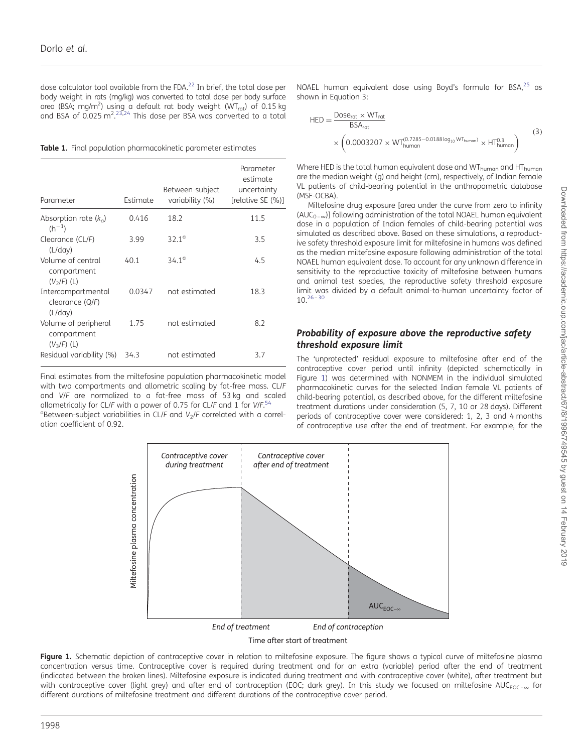<span id="page-2-0"></span>dose calculator tool available from the FDA. $^{22}$  $^{22}$  $^{22}$  In brief, the total dose per body weight in rats (mg/kg) was converted to total dose per body surface area (BSA; mg/m<sup>2</sup>) using a default rat body weight (WT<sub>rat</sub>) of 0.15 kg<br>and BSA of 0.025 m<sup>2</sup>.<sup>[23,24](#page-7-0)</sup> This dose per BSA was converted to a total

Table 1. Final population pharmacokinetic parameter estimates

| Parameter                                            | Estimate | Between-subject<br>variability (%) | Parameter<br>estimate<br>uncertainty<br>[relative SE (%)] |
|------------------------------------------------------|----------|------------------------------------|-----------------------------------------------------------|
| Absorption rate $(k_{q})$<br>$(h^{-1})$              | 0.416    | 18.2                               | 11.5                                                      |
| Clearance (CL/F)<br>(L/day)                          | 3.99     | $32.1^{\circ}$                     | 3.5                                                       |
| Volume of central<br>compartment<br>$(V2/F)$ (L)     | 40.1     | 34.1 <sup>a</sup>                  | 4.5                                                       |
| Intercompartmental<br>clearance (Q/F)<br>(L/day)     | 0.0347   | not estimated                      | 18.3                                                      |
| Volume of peripheral<br>compartment<br>$(V_3/F)$ (L) | 1.75     | not estimated                      | 8.2                                                       |
| Residual variability (%)                             | 34.3     | not estimated                      | 3.7                                                       |

Final estimates from the miltefosine population pharmacokinetic model with two compartments and allometric scaling by fat-free mass. CL/F and V/F are normalized to a fat-free mass of 53 kg and scaled allometrically for CL/F with a power of 0.75 for CL/F and 1 for  $V/F.54$  $V/F.54$  $\alpha$ Between-subject variabilities in CL/F and  $V_2$ /F correlated with a correlation coefficient of 0.92.

NOAEL human equivalent dose using Boyd's formula for BSA,<sup>[25](#page-7-0)</sup> as shown in Equation 3:

$$
HED = \frac{Dose_{rot} \times WT_{rot}}{BSA_{rot}} \times \left(0.0003207 \times WT_{human}^{(0.7285 - 0.0188 log_{10} WT_{human})} \times HT_{human}^{0.3}\right)
$$
\n(3)

Where HED is the total human equivalent dose and WT<sub>human</sub> and HT<sub>human</sub> are the median weight (g) and height (cm), respectively, of Indian female VL patients of child-bearing potential in the anthropometric database (MSF-OCBA).

Miltefosine drug exposure [area under the curve from zero to infinity  $(AUC_{0-\infty})$ ] following administration of the total NOAEL human equivalent dose in a population of Indian females of child-bearing potential was simulated as described above. Based on these simulations, a reproductive safety threshold exposure limit for miltefosine in humans was defined as the median miltefosine exposure following administration of the total NOAEL human equivalent dose. To account for any unknown difference in sensitivity to the reproductive toxicity of miltefosine between humans and animal test species, the reproductive safety threshold exposure limit was divided by a default animal-to-human uncertainty factor of  $10.<sup>26-30</sup>$  $10.<sup>26-30</sup>$  $10.<sup>26-30</sup>$  $10.<sup>26-30</sup>$  $10.<sup>26-30</sup>$ 

#### Probability of exposure above the reproductive safety threshold exposure limit

The 'unprotected' residual exposure to miltefosine after end of the contraceptive cover period until infinity (depicted schematically in Figure 1) was determined with NONMEM in the individual simulated pharmacokinetic curves for the selected Indian female VL patients of child-bearing potential, as described above, for the different miltefosine treatment durations under consideration (5, 7, 10 or 28 days). Different periods of contraceptive cover were considered: 1, 2, 3 and 4 months of contraceptive use after the end of treatment. For example, for the



Figure 1. Schematic depiction of contraceptive cover in relation to miltefosine exposure. The figure shows a typical curve of miltefosine plasma concentration versus time. Contraceptive cover is required during treatment and for an extra (variable) period after the end of treatment (indicated between the broken lines). Miltefosine exposure is indicated during treatment and with contraceptive cover (white), after treatment but with contraceptive cover (light grey) and after end of contraception (EOC; dark grey). In this study we focused on miltefosine AUC<sub>EOC- $\infty$ </sub> for different durations of miltefosine treatment and different durations of the contraceptive cover period.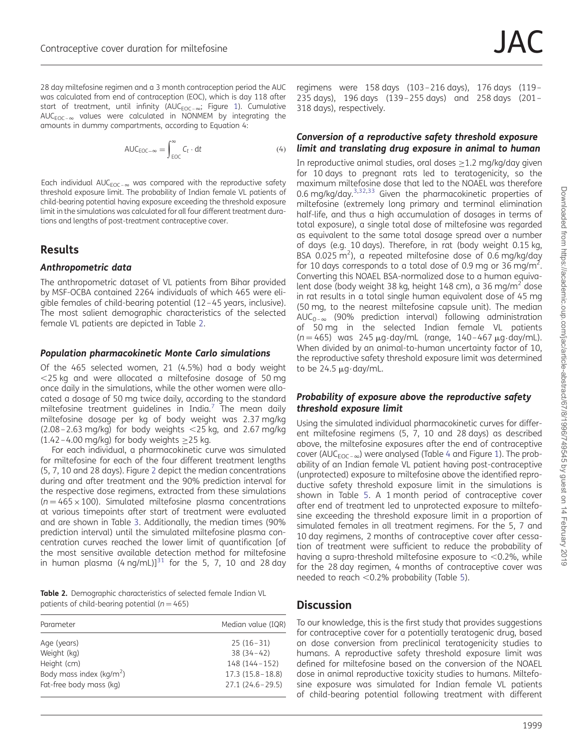28 day miltefosine regimen and a 3 month contraception period the AUC was calculated from end of contraception (EOC), which is day 118 after start of treatment, until infinity (AUC $_{EOC-\infty}$ ; Figure [1](#page-2-0)). Cumulative  $AUC_{EOC-\infty}$  values were calculated in NONMEM by integrating the amounts in dummy compartments, according to Equation 4:

$$
AUC_{EOC-\infty} = \int_{EOC}^{\infty} C_t \cdot dt
$$
 (4)

Each individual AUC<sub>EOC–8</sub> was compared with the reproductive safety threshold exposure limit. The probability of Indian female VL patients of child-bearing potential having exposure exceeding the threshold exposure limit in the simulations was calculated for all four different treatment durations and lengths of post-treatment contraceptive cover.

# Results

#### Anthropometric data

The anthropometric dataset of VL patients from Bihar provided by MSF-OCBA contained 2264 individuals of which 465 were eligible females of child-bearing potential (12–45 years, inclusive). The most salient demographic characteristics of the selected female VL patients are depicted in Table 2.

#### Population pharmacokinetic Monte Carlo simulations

Of the 465 selected women, 21 (4.5%) had a body weight  $<$ 25 kg and were allocated a miltefosine dosage of 50 mg once daily in the simulations, while the other women were allocated a dosage of 50 mg twice daily, according to the standard miltefosine treatment quidelines in India.<sup>[7](#page-7-0)</sup> The mean daily miltefosine dosage per kg of body weight was 2.37 mg/kg  $(2.08 - 2.63 \text{ mg/kg})$  for body weights  $<$  25 kg, and 2.67 mg/kg (1.42–4.00 mg/kg) for body weights  $\geq$ 25 kg.

For each individual, a pharmacokinetic curve was simulated for miltefosine for each of the four different treatment lengths (5, 7, 10 and 28 days). Figure [2](#page-4-0) depict the median concentrations during and after treatment and the 90% prediction interval for the respective dose regimens, extracted from these simulations  $(n = 465 \times 100)$ . Simulated miltefosine plasma concentrations at various timepoints after start of treatment were evaluated and are shown in Table [3](#page-5-0). Additionally, the median times (90% prediction interval) until the simulated miltefosine plasma concentration curves reached the lower limit of quantification [of the most sensitive available detection method for miltefosine in human plasma  $(4 \text{ ng/mL})^{31}$  $(4 \text{ ng/mL})^{31}$  $(4 \text{ ng/mL})^{31}$  for the 5, 7, 10 and 28 day

Table 2. Demographic characteristics of selected female Indian VL patients of child-bearing potential ( $n = 465$ )

| Parameter                   | Median value (IQR)  |
|-----------------------------|---------------------|
| Age (years)                 | $25(16-31)$         |
| Weight (kg)                 | $38(34-42)$         |
| Height (cm)                 | 148 (144-152)       |
| Body mass index ( $kg/m2$ ) | $17.3(15.8 - 18.8)$ |
| Fat-free body mass (kg)     | $27.1(24.6-29.5)$   |

regimens were 158 days (103–216 days), 176 days (119– 235 days), 196 days (139–255 days) and 258 days (201– 318 days), respectively.

#### Conversion of a reproductive safety threshold exposure limit and translating drug exposure in animal to human

In reproductive animal studies, oral doses ≥1.2 mg/kg/day given for 10 days to pregnant rats led to teratogenicity, so the maximum miltefosine dose that led to the NOAEL was therefore 0.6 mg/kg/day.<sup>[3](#page-7-0),[32,33](#page-7-0)</sup> Given the pharmacokinetic properties of miltefosine (extremely long primary and terminal elimination half-life, and thus a high accumulation of dosages in terms of total exposure), a single total dose of miltefosine was regarded as equivalent to the same total dosage spread over a number of days (e.g. 10 days). Therefore, in rat (body weight 0.15 kg, BSA 0.025 m<sup>2</sup>), a repeated miltefosine dose of 0.6 mg/kg/day for 10 days corresponds to a total dose of 0.9 mg or 36 mg/m<sup>2</sup>. Converting this NOAEL BSA-normalized dose to a human equivalent dose (body weight 38 kg, height 148 cm), a 36 mg/m<sup>2</sup> dose in rat results in a total single human equivalent dose of 45 mg (50 mg, to the nearest miltefosine capsule unit). The median AUC<sub>0- $\infty$ </sub> (90% prediction interval) following administration of 50 mg in the selected Indian female VL patients  $(n = 465)$  was 245  $\mu$ g·day/mL (range, 140-467  $\mu$ g·day/mL). When divided by an animal-to-human uncertainty factor of 10, the reproductive safety threshold exposure limit was determined to be  $24.5 \mu g \cdot day/mL$ .

#### Probability of exposure above the reproductive safety threshold exposure limit

Using the simulated individual pharmacokinetic curves for different miltefosine regimens (5, 7, 10 and 28 days) as described above, the miltefosine exposures after the end of contraceptive cover (AUC<sub>FOC- $\infty$ </sub>) were analysed (Table [4](#page-5-0) and Figure [1\)](#page-2-0). The probability of an Indian female VL patient having post-contraceptive (unprotected) exposure to miltefosine above the identified reproductive safety threshold exposure limit in the simulations is shown in Table [5](#page-5-0). A 1 month period of contraceptive cover after end of treatment led to unprotected exposure to miltefosine exceeding the threshold exposure limit in a proportion of simulated females in all treatment regimens. For the 5, 7 and 10 day regimens, 2 months of contraceptive cover after cessation of treatment were sufficient to reduce the probability of having a supra-threshold miltefosine exposure to  $< 0.2$ %, while for the 28 day regimen, 4 months of contraceptive cover was needed to reach  $< 0.2\%$  probability (Table [5\)](#page-5-0).

# **Discussion**

To our knowledge, this is the first study that provides suggestions for contraceptive cover for a potentially teratogenic drug, based on dose conversion from preclinical teratogenicity studies to humans. A reproductive safety threshold exposure limit was defined for miltefosine based on the conversion of the NOAEL dose in animal reproductive toxicity studies to humans. Miltefosine exposure was simulated for Indian female VL patients of child-bearing potential following treatment with different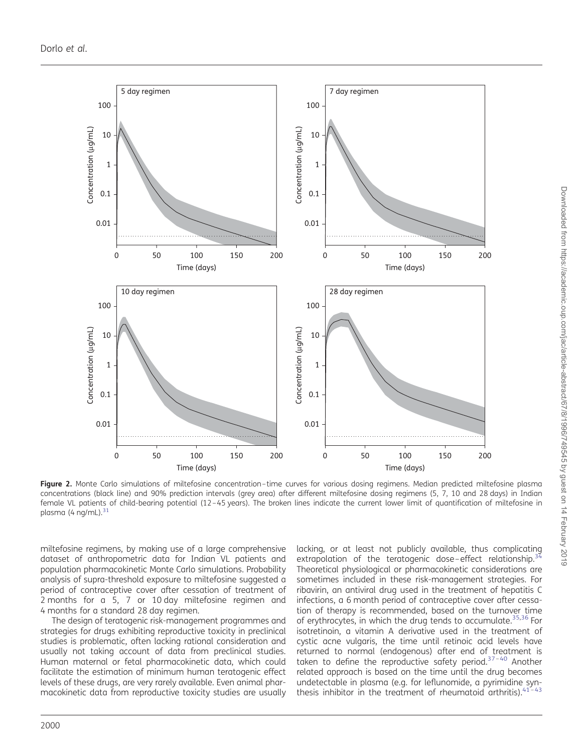<span id="page-4-0"></span>

Figure 2. Monte Carlo simulations of miltefosine concentration-time curves for various dosing regimens. Median predicted miltefosine plasma concentrations (black line) and 90% prediction intervals (grey area) after different miltefosine dosing regimens (5, 7, 10 and 28 days) in Indian female VL patients of child-bearing potential (12–45 years). The broken lines indicate the current lower limit of quantification of miltefosine in plasma (4 ng/mL). $3$ 

miltefosine regimens, by making use of a large comprehensive dataset of anthropometric data for Indian VL patients and population pharmacokinetic Monte Carlo simulations. Probability analysis of supra-threshold exposure to miltefosine suggested a period of contraceptive cover after cessation of treatment of 2 months for a 5, 7 or 10 day miltefosine regimen and 4 months for a standard 28 day regimen.

The design of teratogenic risk-management programmes and strategies for drugs exhibiting reproductive toxicity in preclinical studies is problematic, often lacking rational consideration and usually not taking account of data from preclinical studies. Human maternal or fetal pharmacokinetic data, which could facilitate the estimation of minimum human teratogenic effect levels of these drugs, are very rarely available. Even animal pharmacokinetic data from reproductive toxicity studies are usually

lacking, or at least not publicly available, thus complicating extrapolation of the teratogenic dose-effect relationship.<sup>[34](#page-7-0)</sup> Theoretical physiological or pharmacokinetic considerations are sometimes included in these risk-management strategies. For ribavirin, an antiviral drug used in the treatment of hepatitis C infections, a 6 month period of contraceptive cover after cessation of therapy is recommended, based on the turnover time of erythrocytes, in which the drug tends to accumulate.<sup>[35](#page-7-0),[36](#page-7-0)</sup> For isotretinoin, a vitamin A derivative used in the treatment of cystic acne vulgaris, the time until retinoic acid levels have returned to normal (endogenous) after end of treatment is taken to define the reproductive safety period.<sup>37-[40](#page-8-0)</sup> Another related approach is based on the time until the drug becomes undetectable in plasma (e.g. for leflunomide, a pyrimidine synthesis inhibitor in the treatment of rheumatoid arthritis). $41$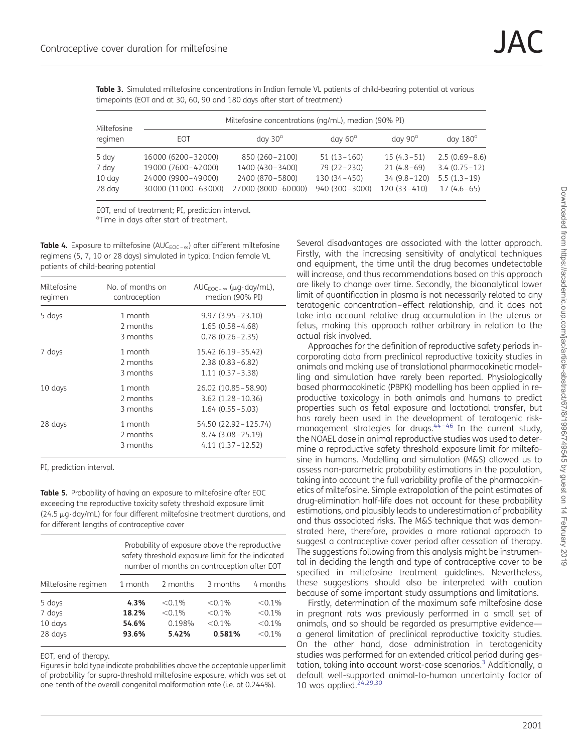<span id="page-5-0"></span>Table 3. Simulated miltefosine concentrations in Indian female VL patients of child-bearing potential at various timepoints (EOT and at 30, 60, 90 and 180 days after start of treatment)

| Miltefosine                                  | Miltefosine concentrations (ng/mL), median (90% PI)                                   |                                                                                  |                                                                         |                                                                  |                                                                      |
|----------------------------------------------|---------------------------------------------------------------------------------------|----------------------------------------------------------------------------------|-------------------------------------------------------------------------|------------------------------------------------------------------|----------------------------------------------------------------------|
| regimen                                      | EOT                                                                                   | $day 30^{\circ}$                                                                 | $day 60^\circ$                                                          | $day\ 90^\circ$                                                  | day $180^\circ$                                                      |
| 5 day<br>7 day<br>$10 \text{ day}$<br>28 day | 16000 (6200-32000)<br>19000 (7600-42000)<br>24000 (9900-49000)<br>30000 (11000-63000) | 850 (260 - 2100)<br>1400 (430 - 3400)<br>2400 (870 - 5800)<br>27000 (8000-60000) | $51(13 - 160)$<br>$79(22 - 230)$<br>$130(34 - 450)$<br>940 (300 - 3000) | $15(4.3-51)$<br>$21(4.8-69)$<br>$34(9.8-120)$<br>$120(33 - 410)$ | $2.5(0.69 - 8.6)$<br>$3.4(0.75-12)$<br>$5.5(1.3-19)$<br>$17(4.6-65)$ |

EOT, end of treatment; PI, prediction interval. <sup>a</sup>Time in days after start of treatment.

**Table 4.** Exposure to miltefosine (AUC<sub>FOC- $\infty$ </sub>) after different miltefosine regimens (5, 7, 10 or 28 days) simulated in typical Indian female VL patients of child-bearing potential

| Miltefosine<br>regimen | No. of months on<br>contraception | AUC <sub>FOC-<math>\infty</math></sub> ( $\mu$ g·day/mL),<br>median (90% PI) |
|------------------------|-----------------------------------|------------------------------------------------------------------------------|
| 5 days                 | 1 month<br>2 months<br>3 months   | $9.97(3.95 - 23.10)$<br>$1.65(0.58 - 4.68)$<br>$0.78(0.26 - 2.35)$           |
| 7 days                 | 1 month<br>2 months<br>3 months   | $15.42(6.19-35.42)$<br>$2.38(0.83 - 6.82)$<br>$1.11(0.37 - 3.38)$            |
| 10 days                | 1 month<br>2 months<br>3 months   | 26.02 (10.85 - 58.90)<br>$3.62$ $(1.28 - 10.36)$<br>$1.64(0.55 - 5.03)$      |
| 28 days                | 1 month<br>2 months<br>3 months   | 54.50 (22.92 - 125.74)<br>$8.74(3.08 - 25.19)$<br>$4.11(1.37 - 12.52)$       |

PI, prediction interval.

Table 5. Probability of having an exposure to miltefosine after EOC exceeding the reproductive toxicity safety threshold exposure limit (24.5  $\mu$ g $\cdot$ day/mL) for four different miltefosine treatment durations, and for different lengths of contraceptive cover

|                                        | Probability of exposure above the reproductive<br>safety threshold exposure limit for the indicated<br>number of months on contraception after EOT |                                           |                                               |                                               |
|----------------------------------------|----------------------------------------------------------------------------------------------------------------------------------------------------|-------------------------------------------|-----------------------------------------------|-----------------------------------------------|
| Miltefosine regimen                    | 1 month                                                                                                                                            | 2 months                                  | 3 months                                      | 4 months                                      |
| 5 days<br>7 days<br>10 days<br>28 days | 4.3%<br>18.2%<br>54.6%<br>93.6%                                                                                                                    | $< 0.1\%$<br>$< 0.1\%$<br>0.198%<br>5.42% | $< 0.1\%$<br>$< 0.1\%$<br>$< 0.1\%$<br>0.581% | $< 0.1\%$<br>< 0.1%<br>$< 0.1\%$<br>$< 0.1\%$ |

EOT, end of therapy.

Figures in bold type indicate probabilities above the acceptable upper limit of probability for supra-threshold miltefosine exposure, which was set at one-tenth of the overall congenital malformation rate (i.e. at 0.244%).

Several disadvantages are associated with the latter approach. Firstly, with the increasing sensitivity of analytical techniques and equipment, the time until the drug becomes undetectable will increase, and thus recommendations based on this approach are likely to change over time. Secondly, the bioanalytical lower limit of quantification in plasma is not necessarily related to any teratogenic concentration–effect relationship, and it does not take into account relative drug accumulation in the uterus or fetus, making this approach rather arbitrary in relation to the actual risk involved.

Approaches for the definition of reproductive safety periods incorporating data from preclinical reproductive toxicity studies in animals and making use of translational pharmacokinetic modelling and simulation have rarely been reported. Physiologically based pharmacokinetic (PBPK) modelling has been applied in reproductive toxicology in both animals and humans to predict properties such as fetal exposure and lactational transfer, but has rarely been used in the development of teratogenic riskmanagement strategies for drugs. $44 - 46$  $44 - 46$  $44 - 46$  In the current study, the NOAEL dose in animal reproductive studies was used to determine a reproductive safety threshold exposure limit for miltefosine in humans. Modelling and simulation (M&S) allowed us to assess non-parametric probability estimations in the population, taking into account the full variability profile of the pharmacokinetics of miltefosine. Simple extrapolation of the point estimates of drug-elimination half-life does not account for these probability estimations, and plausibly leads to underestimation of probability and thus associated risks. The M&S technique that was demonstrated here, therefore, provides a more rational approach to suggest a contraceptive cover period after cessation of therapy. The suggestions following from this analysis might be instrumental in deciding the length and type of contraceptive cover to be specified in miltefosine treatment guidelines. Nevertheless, these suggestions should also be interpreted with caution because of some important study assumptions and limitations.

Firstly, determination of the maximum safe miltefosine dose in pregnant rats was previously performed in a small set of animals, and so should be regarded as presumptive evidence a general limitation of preclinical reproductive toxicity studies. On the other hand, dose administration in teratogenicity studies was performed for an extended critical period during gestation, taking into account worst-case scenarios.<sup>3</sup> Additionally, a default well-supported animal-to-human uncertainty factor of 10 was applied. $24,29,30$  $24,29,30$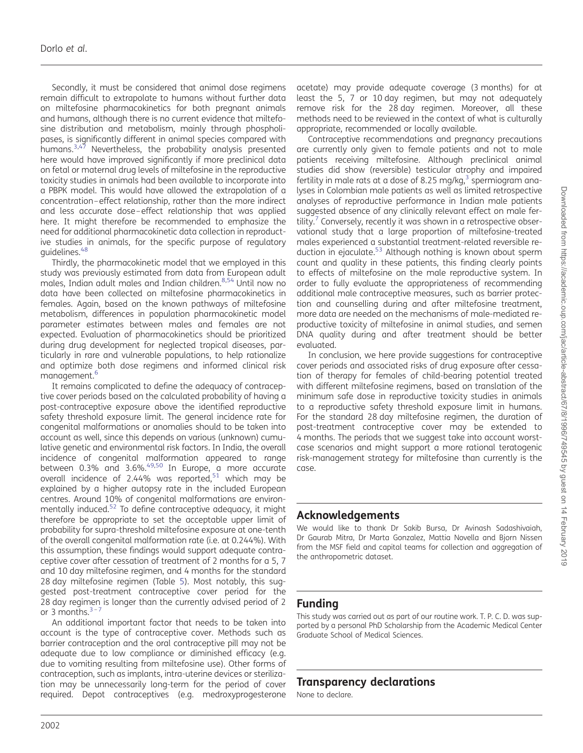Secondly, it must be considered that animal dose regimens remain difficult to extrapolate to humans without further data on miltefosine pharmacokinetics for both pregnant animals and humans, although there is no current evidence that miltefosine distribution and metabolism, mainly through phospholipases, is significantly different in animal species compared with humans.<sup>[3](#page-7-0),[47](#page-8-0)</sup> Nevertheless, the probability analysis presented here would have improved significantly if more preclinical data on fetal or maternal drug levels of miltefosine in the reproductive toxicity studies in animals had been available to incorporate into a PBPK model. This would have allowed the extrapolation of a concentration–effect relationship, rather than the more indirect and less accurate dose–effect relationship that was applied here. It might therefore be recommended to emphasize the need for additional pharmacokinetic data collection in reproductive studies in animals, for the specific purpose of regulatory guidelines.<sup>[48](#page-8-0)</sup>

Thirdly, the pharmacokinetic model that we employed in this study was previously estimated from data from European adult males, Indian adult males and Indian children.[8](#page-7-0)[,54](#page-8-0) Until now no data have been collected on miltefosine pharmacokinetics in females. Again, based on the known pathways of miltefosine metabolism, differences in population pharmacokinetic model parameter estimates between males and females are not expected. Evaluation of pharmacokinetics should be prioritized during drug development for neglected tropical diseases, particularly in rare and vulnerable populations, to help rationalize and optimize both dose regimens and informed clinical risk management.<sup>[6](#page-7-0)</sup>

It remains complicated to define the adequacy of contraceptive cover periods based on the calculated probability of having a post-contraceptive exposure above the identified reproductive safety threshold exposure limit. The general incidence rate for congenital malformations or anomalies should to be taken into account as well, since this depends on various (unknown) cumulative genetic and environmental risk factors. In India, the overall incidence of congenital malformation appeared to range between 0.3% and 3.6%.<sup>[49,50](#page-8-0)</sup> In Europe, a more accurate overall incidence of 2.44% was reported, $51$  which may be explained by a higher autopsy rate in the included European centres. Around 10% of congenital malformations are environmentally induced.<sup>52</sup> To define contraceptive adequacy, it might therefore be appropriate to set the acceptable upper limit of probability for supra-threshold miltefosine exposure at one-tenth of the overall congenital malformation rate (i.e. at 0.244%). With this assumption, these findings would support adequate contraceptive cover after cessation of treatment of 2 months for a 5, 7 and 10 day miltefosine regimen, and 4 months for the standard 28 day miltefosine regimen (Table [5\)](#page-5-0). Most notably, this suggested post-treatment contraceptive cover period for the 28 day regimen is longer than the currently advised period of 2 or [3](#page-7-0) months. $3 - 7$  $3 - 7$ 

An additional important factor that needs to be taken into account is the type of contraceptive cover. Methods such as barrier contraception and the oral contraceptive pill may not be adequate due to low compliance or diminished efficacy (e.g. due to vomiting resulting from miltefosine use). Other forms of contraception, such as implants, intra-uterine devices or sterilization may be unnecessarily long-term for the period of cover required. Depot contraceptives (e.g. medroxyprogesterone

acetate) may provide adequate coverage (3 months) for at least the 5, 7 or 10 day regimen, but may not adequately remove risk for the 28 day regimen. Moreover, all these methods need to be reviewed in the context of what is culturally appropriate, recommended or locally available.

Contraceptive recommendations and pregnancy precautions are currently only given to female patients and not to male patients receiving miltefosine. Although preclinical animal studies did show (reversible) testicular atrophy and impaired fertility in male rats at a dose of 8.25 mg/kg, $3$  spermiogram analyses in Colombian male patients as well as limited retrospective analyses of reproductive performance in Indian male patients suggested absence of any clinically relevant effect on male fertility.<sup>7</sup> Conversely, recently it was shown in a retrospective observational study that a large proportion of miltefosine-treated males experienced a substantial treatment-related reversible reduction in ejaculate.<sup>53</sup> Although nothing is known about sperm count and quality in these patients, this finding clearly points to effects of miltefosine on the male reproductive system. In order to fully evaluate the appropriateness of recommending additional male contraceptive measures, such as barrier protection and counselling during and after miltefosine treatment, more data are needed on the mechanisms of male-mediated reproductive toxicity of miltefosine in animal studies, and semen DNA quality during and after treatment should be better evaluated.

In conclusion, we here provide suggestions for contraceptive cover periods and associated risks of drug exposure after cessation of therapy for females of child-bearing potential treated with different miltefosine regimens, based on translation of the minimum safe dose in reproductive toxicity studies in animals to a reproductive safety threshold exposure limit in humans. For the standard 28 day miltefosine regimen, the duration of post-treatment contraceptive cover may be extended to 4 months. The periods that we suggest take into account worstcase scenarios and might support a more rational teratogenic risk-management strategy for miltefosine than currently is the case.

# Acknowledgements

We would like to thank Dr Sakib Bursa, Dr Avinash Sadashivaiah, Dr Gaurab Mitra, Dr Marta Gonzalez, Mattia Novella and Bjorn Nissen from the MSF field and capital teams for collection and aggregation of the anthropometric dataset.

# Funding

This study was carried out as part of our routine work. T. P. C. D. was supported by a personal PhD Scholarship from the Academic Medical Center Graduate School of Medical Sciences.

# Transparency declarations

None to declare.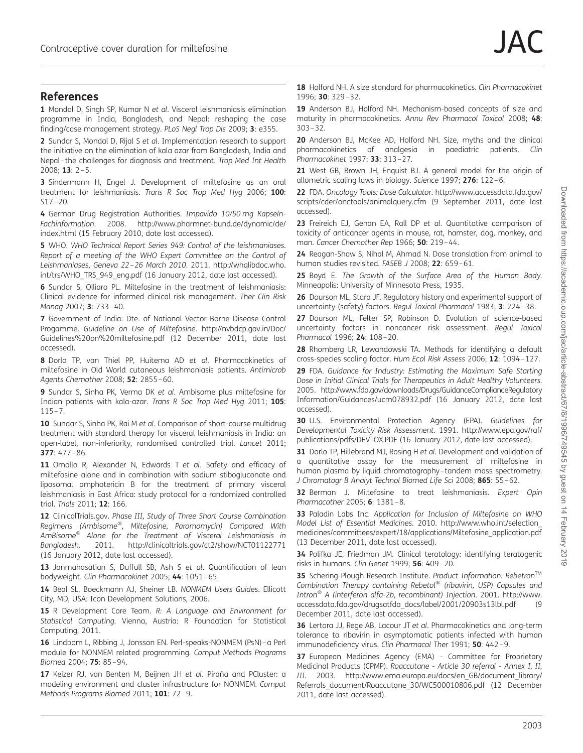### <span id="page-7-0"></span>References

1 Mondal D, Singh SP, Kumar N et al. Visceral leishmaniasis elimination programme in India, Bangladesh, and Nepal: reshaping the case finding/case management strategy. PLoS Negl Trop Dis 2009; 3: e355.

2 Sundar S, Mondal D, Rijal S et al. Implementation research to support the initiative on the elimination of kala azar from Bangladesh, India and Nepal–the challenges for diagnosis and treatment. Trop Med Int Health 2008; 13: 2–5.

3 Sindermann H, Engel J. Development of miltefosine as an oral treatment for leishmaniasis. Trans R Soc Trop Med Hyg 2006; 100: S17–20.

4 German Drug Registration Authorities. Impavido 10/50 mg Kapseln-Fachinformation. 2008. [http://www.pharmnet-bund.de/dynamic/de/](http://www.pharmnet-bund.de/dynamic/de/index.html) [index.html](http://www.pharmnet-bund.de/dynamic/de/index.html) (15 February 2010, date last accessed).

5 WHO. WHO Technical Report Series 949: Control of the leishmaniases. Report of a meeting of the WHO Expert Committee on the Control of Leishmaniases, Geneva 22–26 March 2010. 2011. [http://whqlibdoc.who.](http://whqlibdoc.who.int/trs/WHO_TRS_949_eng.pdf) [int/trs/WHO\\_TRS\\_949\\_eng.pdf](http://whqlibdoc.who.int/trs/WHO_TRS_949_eng.pdf) (16 January 2012, date last accessed).

6 Sundar S, Olliaro PL. Miltefosine in the treatment of leishmaniasis: Clinical evidence for informed clinical risk management. Ther Clin Risk Manag 2007; 3: 733–40.

7 Government of India: Dte. of National Vector Borne Disease Control Progamme. Guideline on Use of Miltefosine. [http://nvbdcp.gov.in/Doc/](http://nvbdcp.gov.in/Doc/Guidelines%20on%20miltefosine.pdf) [Guidelines%20on%20miltefosine.pdf](http://nvbdcp.gov.in/Doc/Guidelines%20on%20miltefosine.pdf) (12 December 2011, date last accessed).

8 Dorlo TP, van Thiel PP, Huitema AD et al. Pharmacokinetics of miltefosine in Old World cutaneous leishmaniasis patients. Antimicrob Agents Chemother 2008; 52: 2855–60.

9 Sundar S, Sinha PK, Verma DK et al. Ambisome plus miltefosine for Indian patients with kala-azar. Trans R Soc Trop Med Hyg 2011; 105: 115–7.

10 Sundar S, Sinha PK, Rai M et al. Comparison of short-course multidrug treatment with standard therapy for visceral leishmaniasis in India: an open-label, non-inferiority, randomised controlled trial. Lancet 2011; 377: 477–86.

11 Omollo R, Alexander N, Edwards T et al. Safety and efficacy of miltefosine alone and in combination with sodium stibogluconate and liposomal amphotericin B for the treatment of primary visceral leishmaniasis in East Africa: study protocol for a randomized controlled trial. Trials 2011; 12: 166.

12 ClinicalTrials.gov. Phase III, Study of Three Short Course Combination Regimens (Ambisome®, Miltefosine, Paromomycin) Compared With AmBisome<sup>®</sup> Alone for the Treatment of Visceral Leishmaniasis in Bangladesh. 2011.<http://clinicaltrials.gov/ct2/show/NCT01122771> (16 January 2012, date last accessed).

13 Janmahasatian S, Duffull SB, Ash S et al. Quantification of lean bodyweight. Clin Pharmacokinet 2005; 44: 1051–65.

14 Beal SL, Boeckmann AJ, Sheiner LB. NONMEM Users Guides. Ellicott City, MD, USA: Icon Development Solutions, 2006.

15 R Development Core Team. R: A Language and Environment for Statistical Computing. Vienna, Austria: R Foundation for Statistical Computing, 2011.

16 Lindbom L, Ribbing J, Jonsson EN. Perl-speaks-NONMEM (PsN)–a Perl module for NONMEM related programming. Comput Methods Programs Biomed 2004; 75: 85–94.

17 Keizer RJ, van Benten M, Beijnen JH et al. Piraña and PCluster: a modeling environment and cluster infrastructure for NONMEM. Comput Methods Programs Biomed 2011; 101: 72-9.

18 Holford NH. A size standard for pharmacokinetics. Clin Pharmacokinet 1996; 30: 329–32.

19 Anderson BJ, Holford NH. Mechanism-based concepts of size and maturity in pharmacokinetics. Annu Rev Pharmacol Toxicol 2008; 48: 303–32.

20 Anderson BJ, McKee AD, Holford NH. Size, myths and the clinical pharmacokinetics of analgesia in paediatric patients. Clin Pharmacokinet 1997; 33: 313–27.

21 West GB, Brown JH, Enquist BJ. A general model for the origin of allometric scaling laws in biology. Science 1997; 276: 122–6.

22 FDA. Oncology Tools: Dose Calculator. [http://www.accessdata.fda.gov/](http://www.accessdata.fda.gov/scripts/cder/onctools/animalquery.cfm) [scripts/cder/onctools/animalquery.cfm](http://www.accessdata.fda.gov/scripts/cder/onctools/animalquery.cfm) (9 September 2011, date last accessed).

23 Freireich EJ, Gehan EA, Rall DP et al. Quantitative comparison of toxicity of anticancer agents in mouse, rat, hamster, dog, monkey, and man. Cancer Chemother Rep 1966; **50**: 219-44.

24 Reagan-Shaw S, Nihal M, Ahmad N. Dose translation from animal to human studies revisited. FASEB J 2008; 22: 659–61.

25 Boyd E. The Growth of the Surface Area of the Human Body. Minneapolis: University of Minnesota Press, 1935.

26 Dourson ML, Stara JF. Regulatory history and experimental support of uncertainty (safety) factors. Regul Toxicol Pharmacol 1983; 3: 224–38.

27 Dourson ML, Felter SP, Robinson D. Evolution of science-based uncertainty factors in noncancer risk assessment. Regul Toxicol Pharmacol 1996; 24: 108–20.

28 Rhomberg LR, Lewandowski TA. Methods for identifying a default cross-species scaling factor. Hum Ecol Risk Assess 2006; 12: 1094–127.

29 FDA. Guidance for Industry: Estimating the Maximum Safe Starting Dose in Initial Clinical Trials for Therapeutics in Adult Healthy Volunteers. 2005. [http://www.fda.gov/downloads/Drugs/GuidanceComplianceRegulatory](http://www.fda.gov/downloads/Drugs/GuidanceComplianceRegulatoryInformation/Guidances/ucm078932.pdf) [Information/Guidances/ucm078932.pdf](http://www.fda.gov/downloads/Drugs/GuidanceComplianceRegulatoryInformation/Guidances/ucm078932.pdf) (16 January 2012, date last accessed).

30 U.S. Environmental Protection Agency (EPA). Guidelines for Developmental Toxicity Risk Assessment. 1991. [http://www.epa.gov/raf/](http://www.epa.gov/raf/publications/pdfs/DEVTOX.PDF) [publications/pdfs/DEVTOX.PDF](http://www.epa.gov/raf/publications/pdfs/DEVTOX.PDF) (16 January 2012, date last accessed).

31 Dorlo TP, Hillebrand MJ, Rosing H et al. Development and validation of a quantitative assay for the measurement of miltefosine in human plasma by liquid chromatography–tandem mass spectrometry. J Chromatogr B Analyt Technol Biomed Life Sci 2008; 865: 55–62.

32 Berman J. Miltefosine to treat leishmaniasis. Expert Opin Pharmacother 2005; 6: 1381–8.

33 Paladin Labs Inc. Application for Inclusion of Miltefosine on WHO Model List of Essential Medicines. 2010. [http://www.who.int/selection\\_](http://www.who.int/selection_medicines/committees/expert/18/applications/Miltefosine_application.pdf) [medicines/committees/expert/18/applications/Miltefosine\\_application.pdf](http://www.who.int/selection_medicines/committees/expert/18/applications/Miltefosine_application.pdf) (13 December 2011, date last accessed).

34 Polifka JE, Friedman JM. Clinical teratology: identifying teratogenic risks in humans. Clin Genet 1999; 56: 409–20.

35 Schering-Plough Research Institute. Product Information: Rebetron™ Combination Therapy containing Rebetol® (ribavirin, USP) Capsules and Intron<sup>®</sup> A (interferon alfa-2b, recombinant) Injection. 2001. [http://www.](http://www.accessdata.fda.gov/drugsatfda_docs/label/2001/20903s13lbl.pdf) [accessdata.fda.gov/drugsatfda\\_docs/label/2001/20903s13lbl.pdf](http://www.accessdata.fda.gov/drugsatfda_docs/label/2001/20903s13lbl.pdf) (9 December 2011, date last accessed).

36 Lertora JJ, Rege AB, Lacour JT et al. Pharmacokinetics and long-term tolerance to ribavirin in asymptomatic patients infected with human immunodeficiency virus. Clin Pharmacol Ther 1991; 50: 442-9.

37 European Medicines Agency (EMA) - Committee for Proprietary Medicinal Products (CPMP). Roaccutane - Article 30 referral - Annex I, II, III. 2003. [http://www.ema.europa.eu/docs/en\\_GB/document\\_library/](http://www.ema.europa.eu/docs/en_GB/document_library/Referrals_document/Roaccutane_30/WC500010806.pdf) [Referrals\\_document/Roaccutane\\_30/WC500010806.pdf](http://www.ema.europa.eu/docs/en_GB/document_library/Referrals_document/Roaccutane_30/WC500010806.pdf) (12 December 2011, date last accessed).